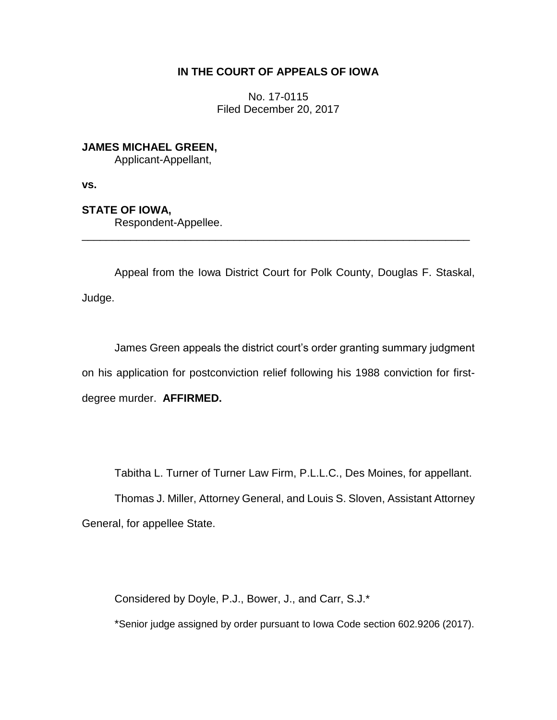### **IN THE COURT OF APPEALS OF IOWA**

No. 17-0115 Filed December 20, 2017

# **JAMES MICHAEL GREEN,**

Applicant-Appellant,

**vs.**

## **STATE OF IOWA,**

Respondent-Appellee.

Appeal from the Iowa District Court for Polk County, Douglas F. Staskal, Judge.

\_\_\_\_\_\_\_\_\_\_\_\_\_\_\_\_\_\_\_\_\_\_\_\_\_\_\_\_\_\_\_\_\_\_\_\_\_\_\_\_\_\_\_\_\_\_\_\_\_\_\_\_\_\_\_\_\_\_\_\_\_\_\_\_

James Green appeals the district court's order granting summary judgment on his application for postconviction relief following his 1988 conviction for firstdegree murder. **AFFIRMED.**

Tabitha L. Turner of Turner Law Firm, P.L.L.C., Des Moines, for appellant.

Thomas J. Miller, Attorney General, and Louis S. Sloven, Assistant Attorney General, for appellee State.

Considered by Doyle, P.J., Bower, J., and Carr, S.J.\*

\*Senior judge assigned by order pursuant to Iowa Code section 602.9206 (2017).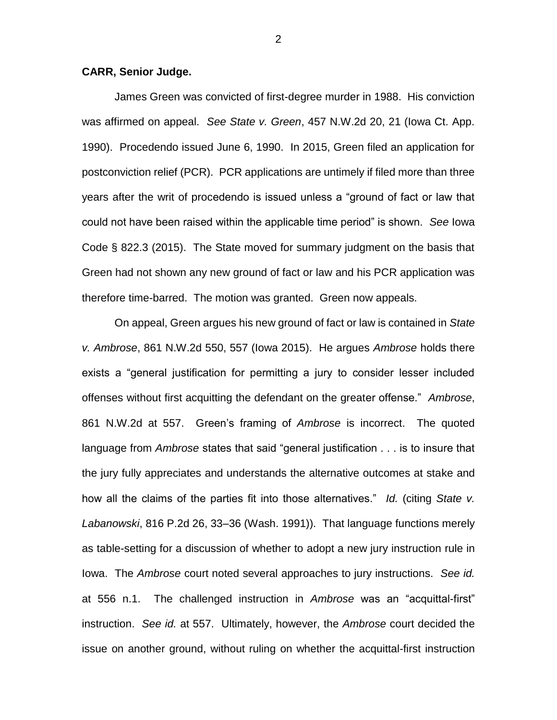#### **CARR, Senior Judge.**

James Green was convicted of first-degree murder in 1988. His conviction was affirmed on appeal. *See State v. Green*, 457 N.W.2d 20, 21 (Iowa Ct. App. 1990). Procedendo issued June 6, 1990. In 2015, Green filed an application for postconviction relief (PCR). PCR applications are untimely if filed more than three years after the writ of procedendo is issued unless a "ground of fact or law that could not have been raised within the applicable time period" is shown. *See* Iowa Code § 822.3 (2015). The State moved for summary judgment on the basis that Green had not shown any new ground of fact or law and his PCR application was therefore time-barred. The motion was granted. Green now appeals.

On appeal, Green argues his new ground of fact or law is contained in *State v. Ambrose*, 861 N.W.2d 550, 557 (Iowa 2015). He argues *Ambrose* holds there exists a "general justification for permitting a jury to consider lesser included offenses without first acquitting the defendant on the greater offense." *Ambrose*, 861 N.W.2d at 557. Green's framing of *Ambrose* is incorrect. The quoted language from *Ambrose* states that said "general justification . . . is to insure that the jury fully appreciates and understands the alternative outcomes at stake and how all the claims of the parties fit into those alternatives." *Id.* (citing *State v. Labanowski*, 816 P.2d 26, 33–36 (Wash. 1991)). That language functions merely as table-setting for a discussion of whether to adopt a new jury instruction rule in Iowa. The *Ambrose* court noted several approaches to jury instructions. *See id.* at 556 n.1. The challenged instruction in *Ambrose* was an "acquittal-first" instruction. *See id.* at 557. Ultimately, however, the *Ambrose* court decided the issue on another ground, without ruling on whether the acquittal-first instruction